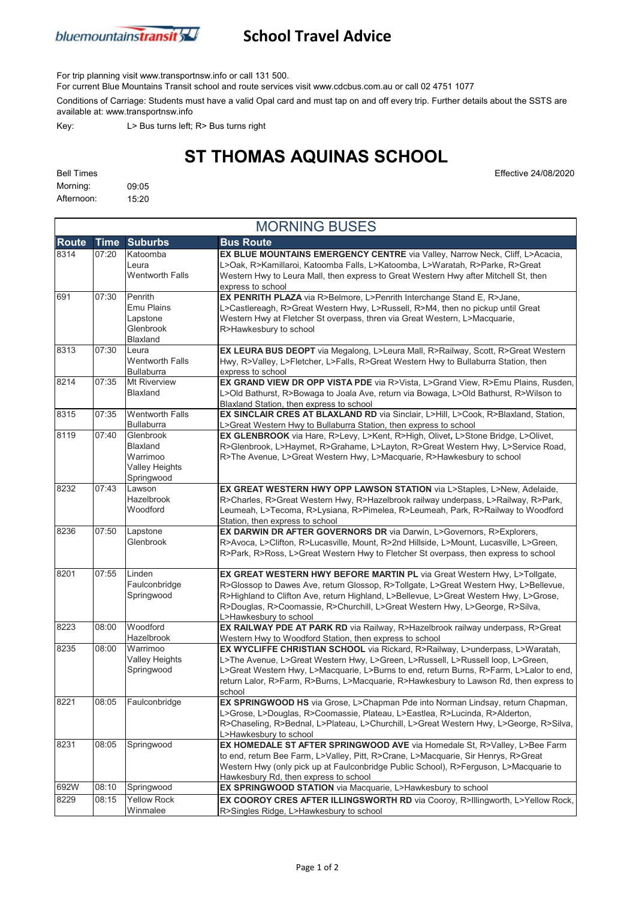

## **School Travel Advice**

For trip planning visit www.transportnsw.info or call 131 500.

For current Blue Mountains Transit school and route services visit www.cdcbus.com.au or call 02 4751 1077

Conditions of Carriage: Students must have a valid Opal card and must tap on and off every trip. Further details about the SSTS are available at: www.transportnsw.info

Key: L> Bus turns left; R> Bus turns right

## **ST THOMAS AQUINAS SCHOOL**

Morning: 09:05 Afternoon: 15:20

| <b>MORNING BUSES</b> |             |                                                                          |                                                                                                                                                                                                                                                                                                                                                                     |  |  |  |
|----------------------|-------------|--------------------------------------------------------------------------|---------------------------------------------------------------------------------------------------------------------------------------------------------------------------------------------------------------------------------------------------------------------------------------------------------------------------------------------------------------------|--|--|--|
| <b>Route</b>         | <b>Time</b> | <b>Suburbs</b>                                                           | <b>Bus Route</b>                                                                                                                                                                                                                                                                                                                                                    |  |  |  |
| 8314                 | 07:20       | Katoomba<br>Leura<br><b>Wentworth Falls</b>                              | <b>EX BLUE MOUNTAINS EMERGENCY CENTRE</b> via Valley, Narrow Neck, Cliff, L>Acacia,<br>L>Oak, R>Kamillaroi, Katoomba Falls, L>Katoomba, L>Waratah, R>Parke, R>Great<br>Western Hwy to Leura Mall, then express to Great Western Hwy after Mitchell St, then<br>express to school                                                                                    |  |  |  |
| 691                  | 07:30       | Penrith<br><b>Emu Plains</b><br>Lapstone<br>Glenbrook<br>Blaxland        | EX PENRITH PLAZA via R>Belmore, L>Penrith Interchange Stand E, R>Jane,<br>L>Castlereagh, R>Great Western Hwy, L>Russell, R>M4, then no pickup until Great<br>Western Hwy at Fletcher St overpass, thren via Great Western, L>Macquarie,<br>R>Hawkesbury to school                                                                                                   |  |  |  |
| 8313                 | 07:30       | Leura<br><b>Wentworth Falls</b><br><b>Bullaburra</b>                     | EX LEURA BUS DEOPT via Megalong, L>Leura Mall, R>Railway, Scott, R>Great Western<br>Hwy, R>Valley, L>Fletcher, L>Falls, R>Great Western Hwy to Bullaburra Station, then<br>express to school                                                                                                                                                                        |  |  |  |
| 8214                 | 07:35       | <b>Mt Riverview</b><br>Blaxland                                          | EX GRAND VIEW DR OPP VISTA PDE via R>Vista, L>Grand View, R>Emu Plains, Rusden,<br>L>Old Bathurst, R>Bowaga to Joala Ave, return via Bowaga, L>Old Bathurst, R>Wilson to<br>Blaxland Station, then express to school                                                                                                                                                |  |  |  |
| 8315                 | 07:35       | <b>Wentworth Falls</b><br><b>Bullaburra</b>                              | EX SINCLAIR CRES AT BLAXLAND RD via Sinclair, L>Hill, L>Cook, R>Blaxland, Station,<br>L>Great Western Hwy to Bullaburra Station, then express to school                                                                                                                                                                                                             |  |  |  |
| 8119                 | 07:40       | Glenbrook<br>Blaxland<br>Warrimoo<br><b>Valley Heights</b><br>Springwood | EX GLENBROOK via Hare, R>Levy, L>Kent, R>High, Olivet, L>Stone Bridge, L>Olivet,<br>R>Glenbrook, L>Haymet, R>Grahame, L>Layton, R>Great Western Hwy, L>Service Road,<br>R>The Avenue, L>Great Western Hwy, L>Macquarie, R>Hawkesbury to school                                                                                                                      |  |  |  |
| 8232                 | 07:43       | Lawson<br><b>Hazelbrook</b><br>Woodford                                  | EX GREAT WESTERN HWY OPP LAWSON STATION via L>Staples, L>New, Adelaide,<br>R>Charles, R>Great Western Hwy, R>Hazelbrook railway underpass, L>Railway, R>Park,<br>Leumeah, L>Tecoma, R>Lysiana, R>Pimelea, R>Leumeah, Park, R>Railway to Woodford<br>Station, then express to school                                                                                 |  |  |  |
| 8236                 | 07:50       | Lapstone<br>Glenbrook                                                    | EX DARWIN DR AFTER GOVERNORS DR via Darwin, L>Governors, R>Explorers,<br>R>Avoca, L>Clifton, R>Lucasville, Mount, R>2nd Hillside, L>Mount, Lucasville, L>Green,<br>R>Park, R>Ross, L>Great Western Hwy to Fletcher St overpass, then express to school                                                                                                              |  |  |  |
| 8201                 | 07:55       | Linden<br>Faulconbridge<br>Springwood                                    | EX GREAT WESTERN HWY BEFORE MARTIN PL via Great Western Hwy, L>Tollgate,<br>R>Glossop to Dawes Ave, return Glossop, R>Tollgate, L>Great Western Hwy, L>Bellevue,<br>R>Highland to Clifton Ave, return Highland, L>Bellevue, L>Great Western Hwy, L>Grose,<br>R>Douglas, R>Coomassie, R>Churchill, L>Great Western Hwy, L>George, R>Silva,<br>L>Hawkesbury to school |  |  |  |
| 8223                 | 08:00       | Woodford<br>Hazelbrook                                                   | EX RAILWAY PDE AT PARK RD via Railway, R>Hazelbrook railway underpass, R>Great<br>Western Hwy to Woodford Station, then express to school                                                                                                                                                                                                                           |  |  |  |
| 8235                 | 08:00       | Warrimoo<br><b>Valley Heights</b><br>Springwood                          | EX WYCLIFFE CHRISTIAN SCHOOL via Rickard, R>Railway, L>underpass, L>Waratah,<br>L>The Avenue, L>Great Western Hwy, L>Green, L>Russell, L>Russell loop, L>Green,<br>L>Great Western Hwy, L>Macquarie, L>Burns to end, return Burns, R>Farm, L>Lalor to end,<br>return Lalor, R>Farm, R>Burns, L>Macquarie, R>Hawkesbury to Lawson Rd, then express to<br>school      |  |  |  |
| 8221                 | 08:05       | Faulconbridge                                                            | EX SPRINGWOOD HS via Grose, L>Chapman Pde into Norman Lindsay, return Chapman,<br>L>Grose, L>Douglas, R>Coomassie, Plateau, L>Eastlea, R>Lucinda, R>Alderton,<br>R>Chaseling, R>Bednal, L>Plateau, L>Churchill, L>Great Western Hwy, L>George, R>Silva,<br>L>Hawkesbury to school                                                                                   |  |  |  |
| 8231                 | 08:05       | Springwood                                                               | EX HOMEDALE ST AFTER SPRINGWOOD AVE via Homedale St, R>Valley, L>Bee Farm<br>to end, return Bee Farm, L>Valley, Pitt, R>Crane, L>Macquarie, Sir Henrys, R>Great<br>Western Hwy (only pick up at Faulconbridge Public School), R>Ferguson, L>Macquarie to<br>Hawkesbury Rd, then express to school                                                                   |  |  |  |
| 692W                 | 08:10       | Springwood                                                               | EX SPRINGWOOD STATION via Macquarie, L>Hawkesbury to school                                                                                                                                                                                                                                                                                                         |  |  |  |
| 8229                 | 08:15       | <b>Yellow Rock</b><br>Winmalee                                           | EX COOROY CRES AFTER ILLINGSWORTH RD via Cooroy, R>Illingworth, L>Yellow Rock,<br>R>Singles Ridge, L>Hawkesbury to school                                                                                                                                                                                                                                           |  |  |  |